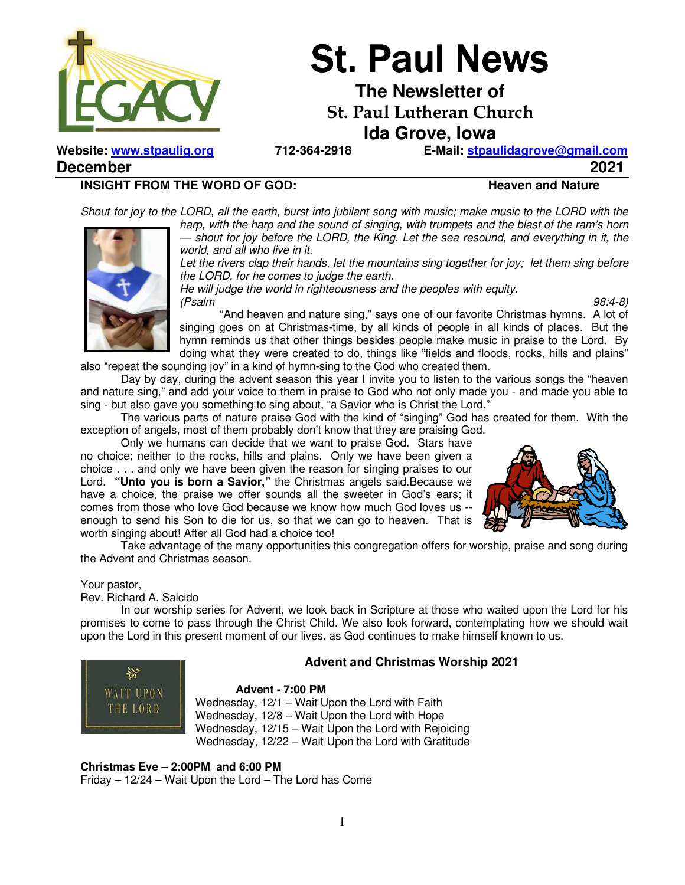

# **St. Paul News**

**The Newsletter of** 

**St. Paul Lutheran Church** 

**Ida Grove, Iowa** 

**Website: www.stpaulig.org 712-364-2918 E-Mail: stpaulidagrove@gmail.com**

**December 2021** 

#### **INSIGHT FROM THE WORD OF GOD:** Heaven and Nature

*Shout for joy to the LORD, all the earth, burst into jubilant song with music; make music to the LORD with the harp, with the harp and the sound of singing, with trumpets and the blast of the ram's horn — shout for joy before the LORD, the King. Let the sea resound, and everything in it, the* 



*world, and all who live in it.*  Let the rivers clap their hands, let the mountains sing together for joy; let them sing before *the LORD, for he comes to judge the earth.* 

*He will judge the world in righteousness and the peoples with equity.* 

*(Psalm 98:4-8)* "And heaven and nature sing," says one of our favorite Christmas hymns. A lot of singing goes on at Christmas-time, by all kinds of people in all kinds of places. But the hymn reminds us that other things besides people make music in praise to the Lord. By doing what they were created to do, things like "fields and floods, rocks, hills and plains"

also "repeat the sounding joy" in a kind of hymn-sing to the God who created them. Day by day, during the advent season this year I invite you to listen to the various songs the "heaven

and nature sing," and add your voice to them in praise to God who not only made you - and made you able to sing - but also gave you something to sing about, "a Savior who is Christ the Lord."

 The various parts of nature praise God with the kind of "singing" God has created for them. With the exception of angels, most of them probably don't know that they are praising God.

 Only we humans can decide that we want to praise God. Stars have no choice; neither to the rocks, hills and plains. Only we have been given a choice . . . and only we have been given the reason for singing praises to our Lord. **"Unto you is born a Savior,"** the Christmas angels said.Because we have a choice, the praise we offer sounds all the sweeter in God's ears; it comes from those who love God because we know how much God loves us - enough to send his Son to die for us, so that we can go to heaven. That is worth singing about! After all God had a choice too!



 Take advantage of the many opportunities this congregation offers for worship, praise and song during the Advent and Christmas season.

#### Your pastor,

Rev. Richard A. Salcido

In our worship series for Advent, we look back in Scripture at those who waited upon the Lord for his promises to come to pass through the Christ Child. We also look forward, contemplating how we should wait upon the Lord in this present moment of our lives, as God continues to make himself known to us.



#### **Advent and Christmas Worship 2021**

#### **Advent - 7:00 PM**

Wednesday, 12/1 – Wait Upon the Lord with Faith Wednesday, 12/8 – Wait Upon the Lord with Hope Wednesday, 12/15 – Wait Upon the Lord with Rejoicing Wednesday, 12/22 – Wait Upon the Lord with Gratitude

**Christmas Eve – 2:00PM and 6:00 PM**  Friday – 12/24 – Wait Upon the Lord – The Lord has Come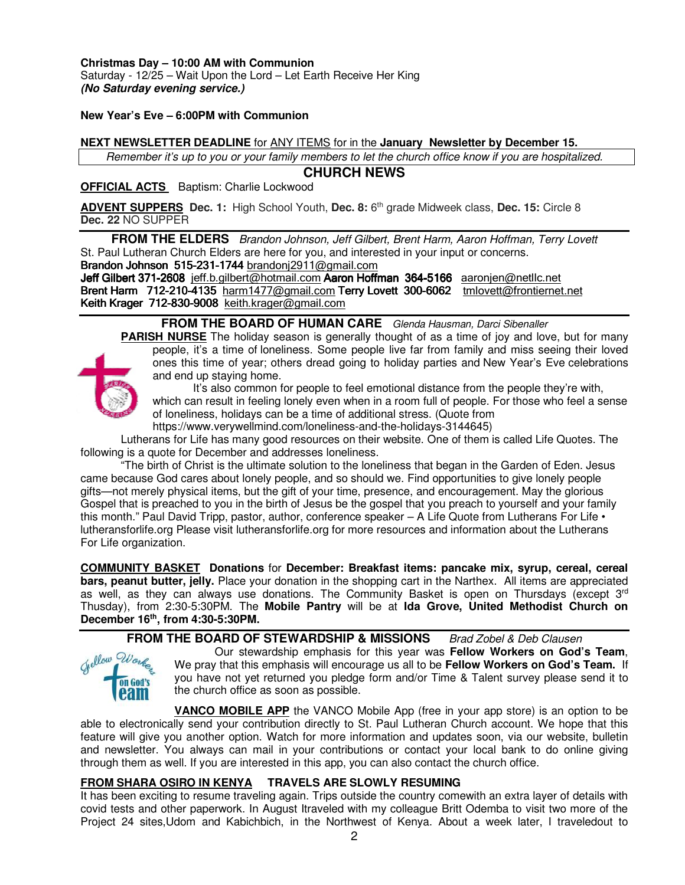**Christmas Day – 10:00 AM with Communion**  Saturday - 12/25 – Wait Upon the Lord – Let Earth Receive Her King **(No Saturday evening service.)** 

#### **New Year's Eve – 6:00PM with Communion**

#### **NEXT NEWSLETTER DEADLINE** for ANY ITEMS for in the **January Newsletter by December 15.**

*Remember it's up to you or your family members to let the church office know if you are hospitalized.* 

#### **CHURCH NEWS**

#### **OFFICIAL ACTS** Baptism: Charlie Lockwood

ADVENT SUPPERS Dec. 1: High School Youth, Dec. 8: 6<sup>th</sup> grade Midweek class, Dec. 15: Circle 8 **Dec. 22** NO SUPPER

**FROM THE ELDERS** *Brandon Johnson, Jeff Gilbert, Brent Harm, Aaron Hoffman, Terry Lovett* St. Paul Lutheran Church Elders are here for you, and interested in your input or concerns. Brandon Johnson 515-231-1744 brandoni $2911@$ gmail.com

Jeff Gilbert 371-2608 jeff.b.gilbert@hotmail.com Aaron Hoffman 364-5166 aaronjen@netllc.net Brent Harm 712-210-4135 harm 1477@gmail.com Terry Lovett 300-6062 tmlovett@frontiernet.net Keith Krager 712-830-9008 keith.krager@gmail.com

#### **FROM THE BOARD OF HUMAN CARE** *Glenda Hausman, Darci Sibenaller*

**PARISH NURSE** The holiday season is generally thought of as a time of joy and love, but for many people, it's a time of loneliness. Some people live far from family and miss seeing their loved ones this time of year; others dread going to holiday parties and New Year's Eve celebrations and end up staying home.

It's also common for people to feel emotional distance from the people they're with, which can result in feeling lonely even when in a room full of people. For those who feel a sense of loneliness, holidays can be a time of additional stress. (Quote from https://www.verywellmind.com/loneliness-and-the-holidays-3144645)

Lutherans for Life has many good resources on their website. One of them is called Life Quotes. The following is a quote for December and addresses loneliness.

"The birth of Christ is the ultimate solution to the loneliness that began in the Garden of Eden. Jesus came because God cares about lonely people, and so should we. Find opportunities to give lonely people gifts—not merely physical items, but the gift of your time, presence, and encouragement. May the glorious Gospel that is preached to you in the birth of Jesus be the gospel that you preach to yourself and your family this month." Paul David Tripp, pastor, author, conference speaker – A Life Quote from Lutherans For Life • lutheransforlife.org Please visit lutheransforlife.org for more resources and information about the Lutherans For Life organization.

**COMMUNITY BASKET Donations** for **December: Breakfast items: pancake mix, syrup, cereal, cereal bars, peanut butter, jelly.** Place your donation in the shopping cart in the Narthex. All items are appreciated as well, as they can always use donations. The Community Basket is open on Thursdays (except 3<sup>rd</sup> Thusday), from 2:30-5:30PM. The **Mobile Pantry** will be at **Ida Grove, United Methodist Church on December 16th , from 4:30-5:30PM.** 

#### **FROM THE BOARD OF STEWARDSHIP & MISSIONS** *Brad Zobel & Deb Clausen*



Our stewardship emphasis for this year was **Fellow Workers on God's Team**, We pray that this emphasis will encourage us all to be **Fellow Workers on God's Team.** If you have not yet returned you pledge form and/or Time & Talent survey please send it to the church office as soon as possible.

**VANCO MOBILE APP** the VANCO Mobile App (free in your app store) is an option to be able to electronically send your contribution directly to St. Paul Lutheran Church account. We hope that this feature will give you another option. Watch for more information and updates soon, via our website, bulletin and newsletter. You always can mail in your contributions or contact your local bank to do online giving through them as well. If you are interested in this app, you can also contact the church office.

#### **FROM SHARA OSIRO IN KENYA TRAVELS ARE SLOWLY RESUMING**

It has been exciting to resume traveling again. Trips outside the country comewith an extra layer of details with covid tests and other paperwork. In August Itraveled with my colleague Britt Odemba to visit two more of the Project 24 sites,Udom and Kabichbich, in the Northwest of Kenya. About a week later, I traveledout to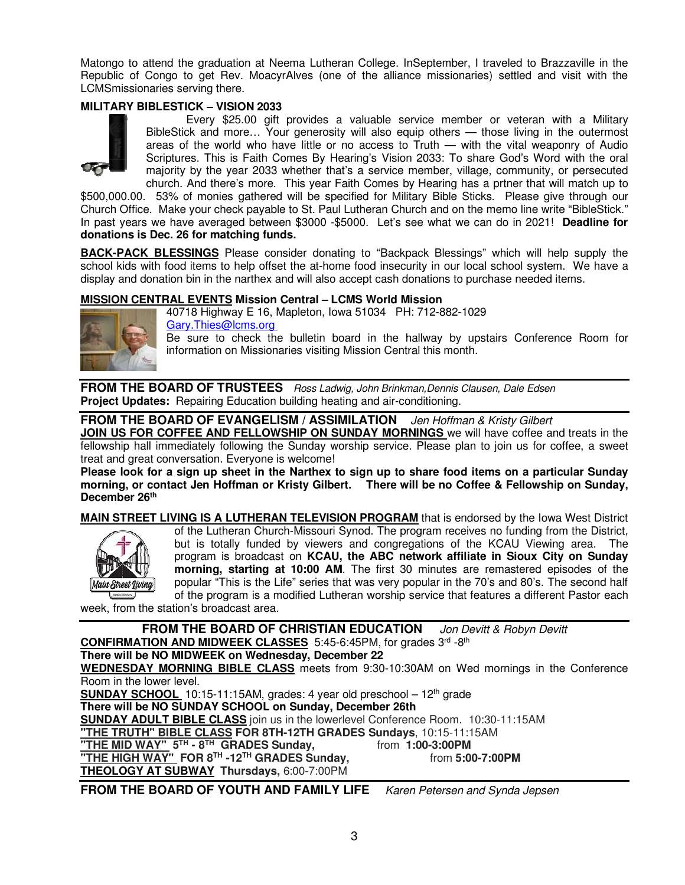Matongo to attend the graduation at Neema Lutheran College. InSeptember, I traveled to Brazzaville in the Republic of Congo to get Rev. MoacyrAlves (one of the alliance missionaries) settled and visit with the LCMSmissionaries serving there.

#### **MILITARY BIBLESTICK – VISION 2033**



 Every \$25.00 gift provides a valuable service member or veteran with a Military BibleStick and more… Your generosity will also equip others — those living in the outermost areas of the world who have little or no access to Truth — with the vital weaponry of Audio Scriptures. This is Faith Comes By Hearing's Vision 2033: To share God's Word with the oral majority by the year 2033 whether that's a service member, village, community, or persecuted church. And there's more. This year Faith Comes by Hearing has a prtner that will match up to

\$500,000.00. 53% of monies gathered will be specified for Military Bible Sticks. Please give through our Church Office. Make your check payable to St. Paul Lutheran Church and on the memo line write "BibleStick." In past years we have averaged between \$3000 -\$5000. Let's see what we can do in 2021! **Deadline for donations is Dec. 26 for matching funds.**

**BACK-PACK BLESSINGS** Please consider donating to "Backpack Blessings" which will help supply the school kids with food items to help offset the at-home food insecurity in our local school system. We have a display and donation bin in the narthex and will also accept cash donations to purchase needed items.

#### **MISSION CENTRAL EVENTS Mission Central – LCMS World Mission**



40718 Highway E 16, Mapleton, Iowa 51034 PH: 712-882-1029 Gary.Thies@lcms.org

Be sure to check the bulletin board in the hallway by upstairs Conference Room for information on Missionaries visiting Mission Central this month.

**FROM THE BOARD OF TRUSTEES** *Ross Ladwig, John Brinkman,Dennis Clausen, Dale Edsen*  **Project Updates:** Repairing Education building heating and air-conditioning.

#### **FROM THE BOARD OF EVANGELISM / ASSIMILATION** *Jen Hoffman & Kristy Gilbert*

**JOIN US FOR COFFEE AND FELLOWSHIP ON SUNDAY MORNINGS** we will have coffee and treats in the fellowship hall immediately following the Sunday worship service. Please plan to join us for coffee, a sweet treat and great conversation. Everyone is welcome!

**Please look for a sign up sheet in the Narthex to sign up to share food items on a particular Sunday morning, or contact Jen Hoffman or Kristy Gilbert. There will be no Coffee & Fellowship on Sunday, December 26th**

**MAIN STREET LIVING IS A LUTHERAN TELEVISION PROGRAM** that is endorsed by the Iowa West District of the Lutheran Church-Missouri Synod. The program receives no funding from the District, but is totally funded by viewers and congregations of the KCAU Viewing area. The program is broadcast on **KCAU, the ABC network affiliate in Sioux City on Sunday** 



**morning, starting at 10:00 AM**. The first 30 minutes are remastered episodes of the popular "This is the Life" series that was very popular in the 70's and 80's. The second half of the program is a modified Lutheran worship service that features a different Pastor each

week, from the station's broadcast area.

**FROM THE BOARD OF CHRISTIAN EDUCATION** *Jon Devitt & Robyn Devitt*  **CONFIRMATION AND MIDWEEK CLASSES** 5:45-6:45PM, for grades 3rd -8th **There will be NO MIDWEEK on Wednesday, December 22 WEDNESDAY MORNING BIBLE CLASS** meets from 9:30-10:30AM on Wed mornings in the Conference Room in the lower level. **SUNDAY SCHOOL** 10:15-11:15AM, grades: 4 year old preschool - 12<sup>th</sup> grade **There will be NO SUNDAY SCHOOL on Sunday, December 26th SUNDAY ADULT BIBLE CLASS** join us in the lowerlevel Conference Room. 10:30-11:15AM **"THE TRUTH" BIBLE CLASS FOR 8TH-12TH GRADES Sundays**, 10:15-11:15AM **"THE MID WAY" 5TH - 8TH GRADES Sunday,** from **1:00-3:00PM THE HIGH WAY" FOR 8<sup>TH</sup> -12<sup>TH</sup> GRADES Sunday, THEOLOGY AT SUBWAY Thursdays,** 6:00-7:00PM

\_ **FROM THE BOARD OF YOUTH AND FAMILY LIFE** *Karen Petersen and Synda Jepsen*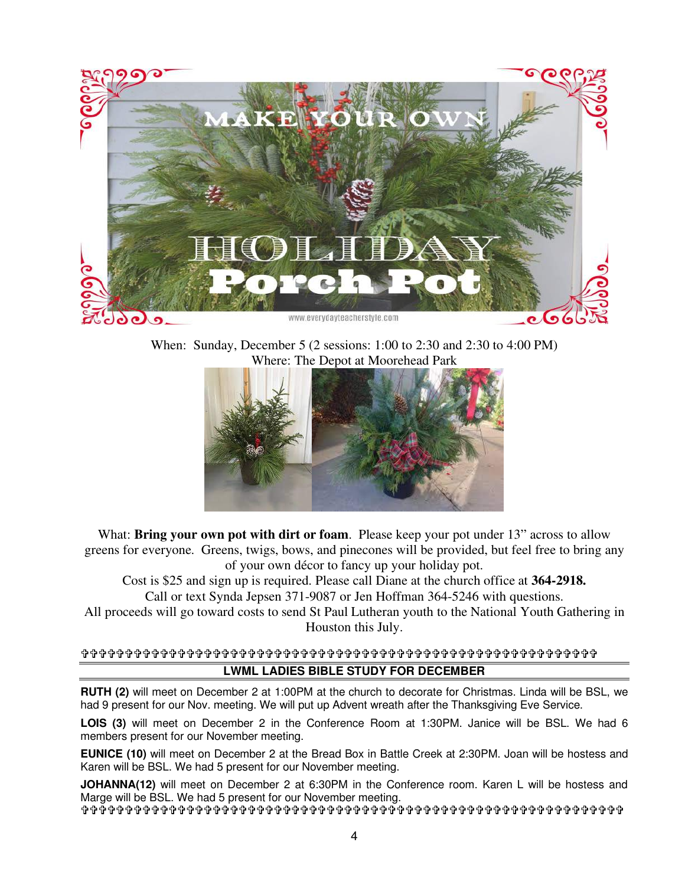

When: Sunday, December 5 (2 sessions: 1:00 to 2:30 and 2:30 to 4:00 PM) Where: The Depot at Moorehead Park



What: **Bring your own pot with dirt or foam**. Please keep your pot under 13" across to allow greens for everyone. Greens, twigs, bows, and pinecones will be provided, but feel free to bring any of your own décor to fancy up your holiday pot.

Cost is \$25 and sign up is required. Please call Diane at the church office at **364-2918.** Call or text Synda Jepsen 371-9087 or Jen Hoffman 364-5246 with questions.

All proceeds will go toward costs to send St Paul Lutheran youth to the National Youth Gathering in Houston this July.

#### **LWML LADIES BIBLE STUDY FOR DECEMBER**

**RUTH (2)** will meet on December 2 at 1:00PM at the church to decorate for Christmas. Linda will be BSL, we had 9 present for our Nov. meeting. We will put up Advent wreath after the Thanksgiving Eve Service.

**LOIS (3)** will meet on December 2 in the Conference Room at 1:30PM. Janice will be BSL. We had 6 members present for our November meeting.

**EUNICE (10)** will meet on December 2 at the Bread Box in Battle Creek at 2:30PM. Joan will be hostess and Karen will be BSL. We had 5 present for our November meeting.

**JOHANNA(12)** will meet on December 2 at 6:30PM in the Conference room. Karen L will be hostess and Marge will be BSL. We had 5 present for our November meeting.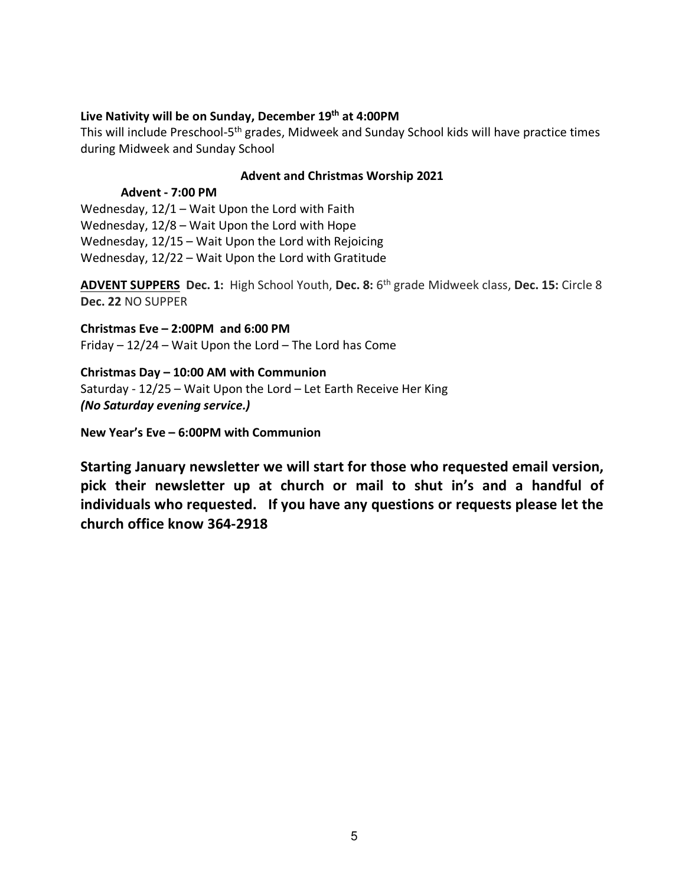#### **Live Nativity will be on Sunday, December 19th at 4:00PM**

This will include Preschool-5<sup>th</sup> grades, Midweek and Sunday School kids will have practice times during Midweek and Sunday School

#### **Advent and Christmas Worship 2021**

#### **Advent - 7:00 PM**

Wednesday, 12/1 – Wait Upon the Lord with Faith Wednesday, 12/8 – Wait Upon the Lord with Hope Wednesday, 12/15 – Wait Upon the Lord with Rejoicing Wednesday, 12/22 – Wait Upon the Lord with Gratitude

**ADVENT SUPPERS Dec. 1:** High School Youth, **Dec. 8:** 6th grade Midweek class, **Dec. 15:** Circle 8 **Dec. 22** NO SUPPER

**Christmas Eve – 2:00PM and 6:00 PM**  Friday – 12/24 – Wait Upon the Lord – The Lord has Come

**Christmas Day – 10:00 AM with Communion**  Saturday - 12/25 – Wait Upon the Lord – Let Earth Receive Her King *(No Saturday evening service.)* 

**New Year's Eve – 6:00PM with Communion** 

**Starting January newsletter we will start for those who requested email version, pick their newsletter up at church or mail to shut in's and a handful of individuals who requested. If you have any questions or requests please let the church office know 364-2918**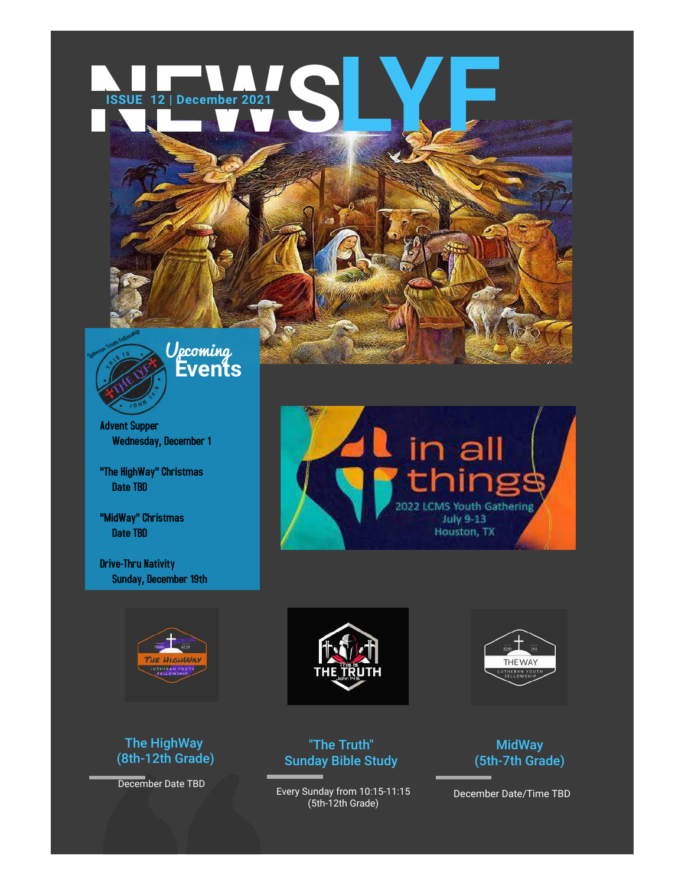# **NEWSPIE 12 | December 2021 ISSUE 12 | December 2021 LYF**



**Events** Upcoming

Advent Supper Wednesday, December 1

"The HighWay" Christmas Date TBD

"MidWay" Christmas Date TBD

**Drive-Thru Nativity** Sunday, December 19th



### The HighWay (8th-12th Grade)

December Date TBD





"The Truth" Sunday Bible Study

Every Sunday from 10:15-11:15 (5th-12th Grade)



### MidWay (5th-7th Grade)

December Date/Time TBD